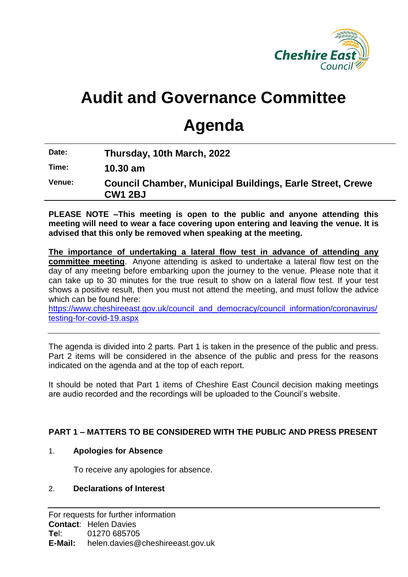

# **Audit and Governance Committee**

# **Agenda**

**Date: Thursday, 10th March, 2022**

**Time: 10.30 am**

**Venue: Council Chamber, Municipal Buildings, Earle Street, Crewe CW1 2BJ**

**PLEASE NOTE –This meeting is open to the public and anyone attending this meeting will need to wear a face covering upon entering and leaving the venue. It is advised that this only be removed when speaking at the meeting.**

**The importance of undertaking a lateral flow test in advance of attending any committee meeting**. Anyone attending is asked to undertake a lateral flow test on the day of any meeting before embarking upon the journey to the venue. Please note that it can take up to 30 minutes for the true result to show on a lateral flow test. If your test shows a positive result, then you must not attend the meeting, and must follow the advice which can be found here:

[https://www.cheshireeast.gov.uk/council\\_and\\_democracy/council\\_information/coronavirus/](https://www.cheshireeast.gov.uk/council_and_democracy/council_information/coronavirus/testing-for-covid-19.aspx) [testing-for-covid-19.aspx](https://www.cheshireeast.gov.uk/council_and_democracy/council_information/coronavirus/testing-for-covid-19.aspx)

The agenda is divided into 2 parts. Part 1 is taken in the presence of the public and press. Part 2 items will be considered in the absence of the public and press for the reasons indicated on the agenda and at the top of each report.

It should be noted that Part 1 items of Cheshire East Council decision making meetings are audio recorded and the recordings will be uploaded to the Council's website.

# **PART 1 – MATTERS TO BE CONSIDERED WITH THE PUBLIC AND PRESS PRESENT**

#### 1. **Apologies for Absence**

To receive any apologies for absence.

#### 2. **Declarations of Interest**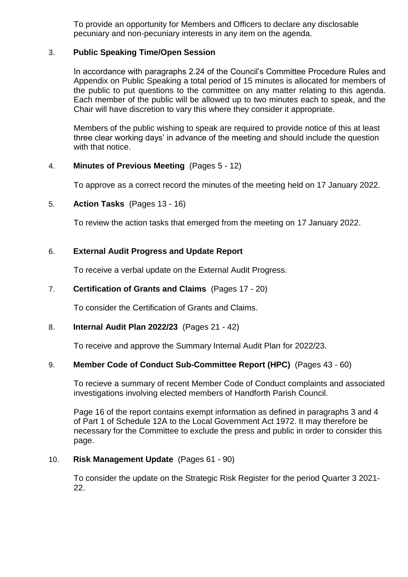To provide an opportunity for Members and Officers to declare any disclosable pecuniary and non-pecuniary interests in any item on the agenda.

## 3. **Public Speaking Time/Open Session**

In accordance with paragraphs 2.24 of the Council's Committee Procedure Rules and Appendix on Public Speaking a total period of 15 minutes is allocated for members of the public to put questions to the committee on any matter relating to this agenda. Each member of the public will be allowed up to two minutes each to speak, and the Chair will have discretion to vary this where they consider it appropriate.

Members of the public wishing to speak are required to provide notice of this at least three clear working days' in advance of the meeting and should include the question with that notice.

## 4. **Minutes of Previous Meeting** (Pages 5 - 12)

To approve as a correct record the minutes of the meeting held on 17 January 2022.

## 5. **Action Tasks** (Pages 13 - 16)

To review the action tasks that emerged from the meeting on 17 January 2022.

## 6. **External Audit Progress and Update Report**

To receive a verbal update on the External Audit Progress.

## 7. **Certification of Grants and Claims** (Pages 17 - 20)

To consider the Certification of Grants and Claims.

#### 8. **Internal Audit Plan 2022/23** (Pages 21 - 42)

To receive and approve the Summary Internal Audit Plan for 2022/23.

#### 9. **Member Code of Conduct Sub-Committee Report (HPC)** (Pages 43 - 60)

To recieve a summary of recent Member Code of Conduct complaints and associated investigations involving elected members of Handforth Parish Council.

Page 16 of the report contains exempt information as defined in paragraphs 3 and 4 of Part 1 of Schedule 12A to the Local Government Act 1972. It may therefore be necessary for the Committee to exclude the press and public in order to consider this page.

# 10. **Risk Management Update** (Pages 61 - 90)

To consider the update on the Strategic Risk Register for the period Quarter 3 2021- 22.